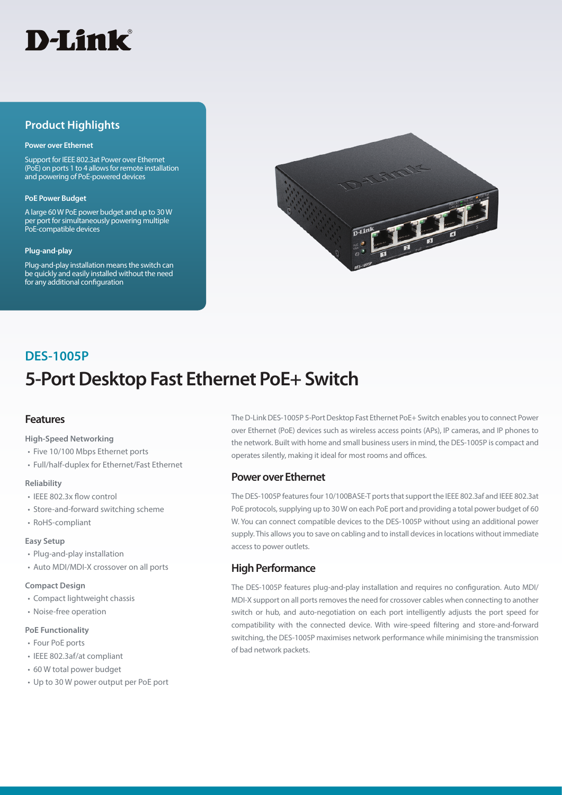

## **Product Highlights**

#### **Power over Ethernet**

Support for IEEE 802.3at Power over Ethernet (PoE) on ports 1 to 4 allows for remote installation and powering of PoE-powered devices

#### **PoE Power Budget**

A large 60 W PoE power budget and up to 30 W per port for simultaneously powering multiple PoE-compatible devices

#### **Plug-and-play**

Plug-and-play installation means the switch can be quickly and easily installed without the need for any additional configuration



# **5-Port Desktop Fast Ethernet PoE+ Switch DES-1005P**

## **Features**

#### **High-Speed Networking**

- Five 10/100 Mbps Ethernet ports
- Full/half-duplex for Ethernet/Fast Ethernet

#### **Reliability**

- IEEE 802.3x flow control
- Store-and-forward switching scheme
- RoHS-compliant

#### **Easy Setup**

- Plug-and-play installation
- Auto MDI/MDI-X crossover on all ports

#### **Compact Design**

- Compact lightweight chassis
- Noise-free operation

#### **PoE Functionality**

- Four PoE ports
- IEEE 802.3af/at compliant
- 60 W total power budget
- Up to 30 W power output per PoE port

The D-Link DES-1005P 5-Port Desktop Fast Ethernet PoE+ Switch enables you to connect Power over Ethernet (PoE) devices such as wireless access points (APs), IP cameras, and IP phones to the network. Built with home and small business users in mind, the DES-1005P is compact and operates silently, making it ideal for most rooms and offices.

### **Power over Ethernet**

The DES-1005P features four 10/100BASE-T ports that support the IEEE 802.3af and IEEE 802.3at PoE protocols, supplying up to 30 W on each PoE port and providing a total power budget of 60 W. You can connect compatible devices to the DES-1005P without using an additional power supply. This allows you to save on cabling and to install devices in locations without immediate access to power outlets.

## **High Performance**

The DES-1005P features plug-and-play installation and requires no configuration. Auto MDI/ MDI-X support on all ports removes the need for crossover cables when connecting to another switch or hub, and auto-negotiation on each port intelligently adjusts the port speed for compatibility with the connected device. With wire-speed filtering and store-and-forward switching, the DES-1005P maximises network performance while minimising the transmission of bad network packets.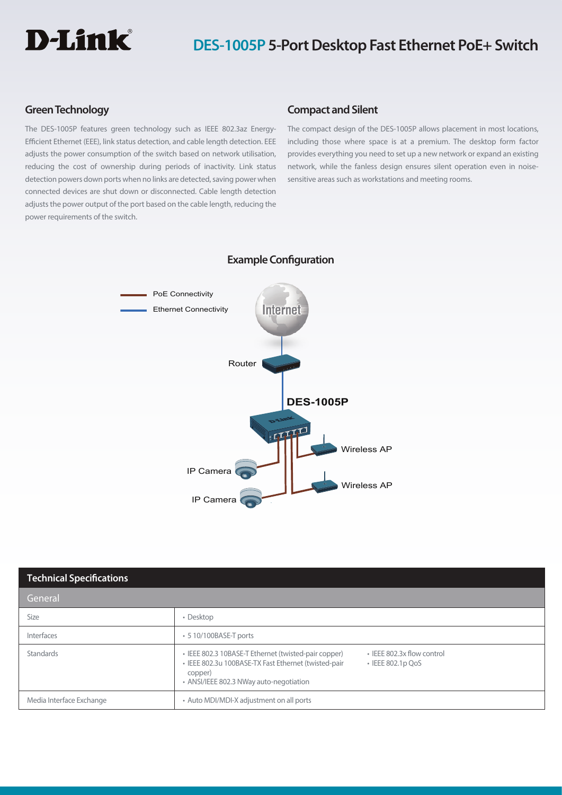

## **DES-1005P 5-Port Desktop Fast Ethernet PoE+ Switch**

## **Green Technology**

The DES-1005P features green technology such as IEEE 802.3az Energy-Efficient Ethernet (EEE), link status detection, and cable length detection. EEE adjusts the power consumption of the switch based on network utilisation, reducing the cost of ownership during periods of inactivity. Link status detection powers down ports when no links are detected, saving power when connected devices are shut down or disconnected. Cable length detection adjusts the power output of the port based on the cable length, reducing the power requirements of the switch.

## **Compact and Silent**

The compact design of the DES-1005P allows placement in most locations, including those where space is at a premium. The desktop form factor provides everything you need to set up a new network or expand an existing network, while the fanless design ensures silent operation even in noisesensitive areas such as workstations and meeting rooms.



### **Example Configuration**

| <b>Technical Specifications</b> |                                                                                                                                                                                                                             |  |
|---------------------------------|-----------------------------------------------------------------------------------------------------------------------------------------------------------------------------------------------------------------------------|--|
| 'General                        |                                                                                                                                                                                                                             |  |
| Size                            | • Desktop                                                                                                                                                                                                                   |  |
| Interfaces                      | • 5 10/100BASE-T ports                                                                                                                                                                                                      |  |
| Standards                       | · IEEE 802.3x flow control<br>• IEEE 802.3 10BASE-T Ethernet (twisted-pair copper)<br>· IEEE 802.3u 100BASE-TX Fast Ethernet (twisted-pair<br>$\cdot$ IEEE 802.1p QoS<br>copper)<br>• ANSI/IEEE 802.3 NWay auto-negotiation |  |
| Media Interface Exchange        | • Auto MDI/MDI-X adjustment on all ports                                                                                                                                                                                    |  |